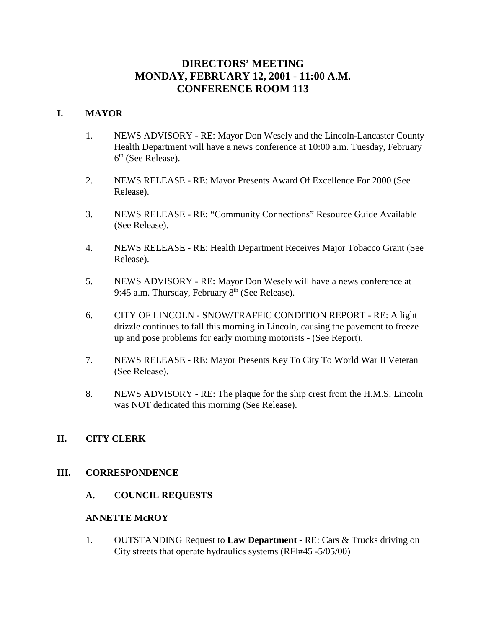# **DIRECTORS' MEETING MONDAY, FEBRUARY 12, 2001 - 11:00 A.M. CONFERENCE ROOM 113**

## **I. MAYOR**

- 1. NEWS ADVISORY RE: Mayor Don Wesely and the Lincoln-Lancaster County Health Department will have a news conference at 10:00 a.m. Tuesday, February  $6<sup>th</sup>$  (See Release).
- 2. NEWS RELEASE RE: Mayor Presents Award Of Excellence For 2000 (See Release).
- 3. NEWS RELEASE RE: "Community Connections" Resource Guide Available (See Release).
- 4. NEWS RELEASE RE: Health Department Receives Major Tobacco Grant (See Release).
- 5. NEWS ADVISORY RE: Mayor Don Wesely will have a news conference at 9:45 a.m. Thursday, February  $8<sup>th</sup>$  (See Release).
- 6. CITY OF LINCOLN SNOW/TRAFFIC CONDITION REPORT RE: A light drizzle continues to fall this morning in Lincoln, causing the pavement to freeze up and pose problems for early morning motorists - (See Report).
- 7. NEWS RELEASE RE: Mayor Presents Key To City To World War II Veteran (See Release).
- 8. NEWS ADVISORY RE: The plaque for the ship crest from the H.M.S. Lincoln was NOT dedicated this morning (See Release).

## **II. CITY CLERK**

## **III. CORRESPONDENCE**

**A. COUNCIL REQUESTS**

## **ANNETTE McROY**

1. OUTSTANDING Request to **Law Department** - RE: Cars & Trucks driving on City streets that operate hydraulics systems (RFI#45 -5/05/00)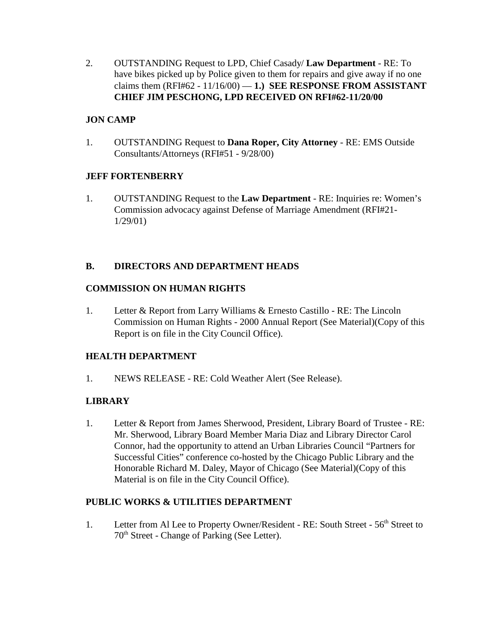2. OUTSTANDING Request to LPD, Chief Casady/ **Law Department** - RE: To have bikes picked up by Police given to them for repairs and give away if no one claims them  $(RFI#62 - 11/16/00) - 1$ .) **SEE RESPONSE FROM ASSISTANT CHIEF JIM PESCHONG, LPD RECEIVED ON RFI#62-11/20/00** 

## **JON CAMP**

1. OUTSTANDING Request to **Dana Roper, City Attorney** - RE: EMS Outside Consultants/Attorneys (RFI#51 - 9/28/00)

## **JEFF FORTENBERRY**

1. OUTSTANDING Request to the **Law Department** - RE: Inquiries re: Women's Commission advocacy against Defense of Marriage Amendment (RFI#21- 1/29/01)

## **B. DIRECTORS AND DEPARTMENT HEADS**

## **COMMISSION ON HUMAN RIGHTS**

1. Letter & Report from Larry Williams & Ernesto Castillo - RE: The Lincoln Commission on Human Rights - 2000 Annual Report (See Material)(Copy of this Report is on file in the City Council Office).

## **HEALTH DEPARTMENT**

1. NEWS RELEASE - RE: Cold Weather Alert (See Release).

# **LIBRARY**

1. Letter & Report from James Sherwood, President, Library Board of Trustee - RE: Mr. Sherwood, Library Board Member Maria Diaz and Library Director Carol Connor, had the opportunity to attend an Urban Libraries Council "Partners for Successful Cities" conference co-hosted by the Chicago Public Library and the Honorable Richard M. Daley, Mayor of Chicago (See Material)(Copy of this Material is on file in the City Council Office).

## **PUBLIC WORKS & UTILITIES DEPARTMENT**

1. Letter from Al Lee to Property Owner/Resident - RE: South Street - 56<sup>th</sup> Street to 70th Street - Change of Parking (See Letter).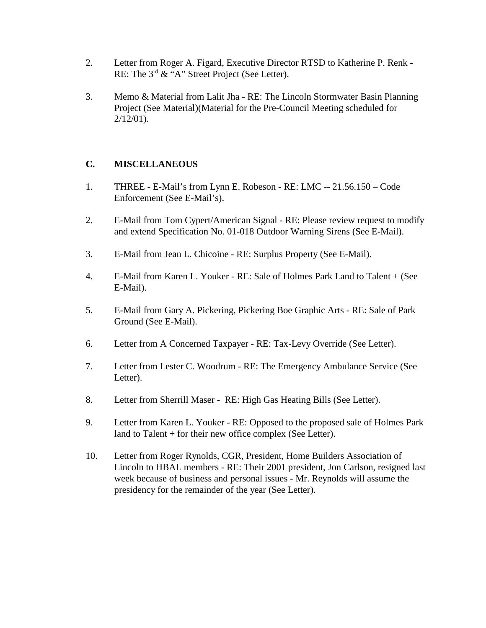- 2. Letter from Roger A. Figard, Executive Director RTSD to Katherine P. Renk RE: The  $3^{rd}$  & "A" Street Project (See Letter).
- 3. Memo & Material from Lalit Jha RE: The Lincoln Stormwater Basin Planning Project (See Material)(Material for the Pre-Council Meeting scheduled for  $2/12/01$ ).

## **C. MISCELLANEOUS**

- 1. THREE E-Mail's from Lynn E. Robeson RE: LMC -- 21.56.150 Code Enforcement (See E-Mail's).
- 2. E-Mail from Tom Cypert/American Signal RE: Please review request to modify and extend Specification No. 01-018 Outdoor Warning Sirens (See E-Mail).
- 3. E-Mail from Jean L. Chicoine RE: Surplus Property (See E-Mail).
- 4. E-Mail from Karen L. Youker RE: Sale of Holmes Park Land to Talent + (See E-Mail).
- 5. E-Mail from Gary A. Pickering, Pickering Boe Graphic Arts RE: Sale of Park Ground (See E-Mail).
- 6. Letter from A Concerned Taxpayer RE: Tax-Levy Override (See Letter).
- 7. Letter from Lester C. Woodrum RE: The Emergency Ambulance Service (See Letter).
- 8. Letter from Sherrill Maser RE: High Gas Heating Bills (See Letter).
- 9. Letter from Karen L. Youker RE: Opposed to the proposed sale of Holmes Park land to Talent + for their new office complex (See Letter).
- 10. Letter from Roger Rynolds, CGR, President, Home Builders Association of Lincoln to HBAL members - RE: Their 2001 president, Jon Carlson, resigned last week because of business and personal issues - Mr. Reynolds will assume the presidency for the remainder of the year (See Letter).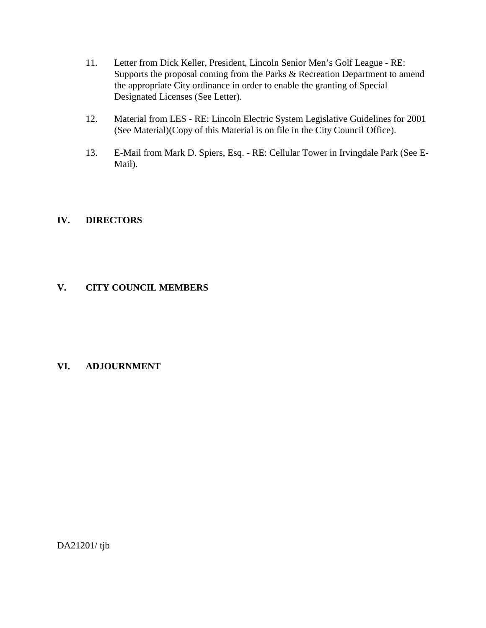- 11. Letter from Dick Keller, President, Lincoln Senior Men's Golf League RE: Supports the proposal coming from the Parks & Recreation Department to amend the appropriate City ordinance in order to enable the granting of Special Designated Licenses (See Letter).
- 12. Material from LES RE: Lincoln Electric System Legislative Guidelines for 2001 (See Material)(Copy of this Material is on file in the City Council Office).
- 13. E-Mail from Mark D. Spiers, Esq. RE: Cellular Tower in Irvingdale Park (See E-Mail).

## **IV. DIRECTORS**

## **V. CITY COUNCIL MEMBERS**

## **VI. ADJOURNMENT**

DA21201/ tjb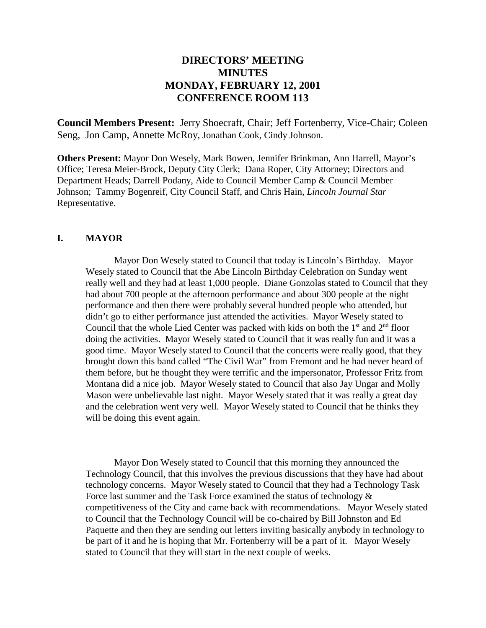# **DIRECTORS' MEETING MINUTES MONDAY, FEBRUARY 12, 2001 CONFERENCE ROOM 113**

**Council Members Present:** Jerry Shoecraft, Chair; Jeff Fortenberry, Vice-Chair; Coleen Seng, Jon Camp, Annette McRoy, Jonathan Cook, Cindy Johnson.

**Others Present:** Mayor Don Wesely, Mark Bowen, Jennifer Brinkman, Ann Harrell, Mayor's Office; Teresa Meier-Brock, Deputy City Clerk; Dana Roper, City Attorney; Directors and Department Heads; Darrell Podany, Aide to Council Member Camp & Council Member Johnson; Tammy Bogenreif, City Council Staff, and Chris Hain, *Lincoln Journal Star* Representative.

### **I. MAYOR**

Mayor Don Wesely stated to Council that today is Lincoln's Birthday. Mayor Wesely stated to Council that the Abe Lincoln Birthday Celebration on Sunday went really well and they had at least 1,000 people. Diane Gonzolas stated to Council that they had about 700 people at the afternoon performance and about 300 people at the night performance and then there were probably several hundred people who attended, but didn't go to either performance just attended the activities. Mayor Wesely stated to Council that the whole Lied Center was packed with kids on both the  $1<sup>st</sup>$  and  $2<sup>nd</sup>$  floor doing the activities. Mayor Wesely stated to Council that it was really fun and it was a good time. Mayor Wesely stated to Council that the concerts were really good, that they brought down this band called "The Civil War" from Fremont and he had never heard of them before, but he thought they were terrific and the impersonator, Professor Fritz from Montana did a nice job. Mayor Wesely stated to Council that also Jay Ungar and Molly Mason were unbelievable last night. Mayor Wesely stated that it was really a great day and the celebration went very well. Mayor Wesely stated to Council that he thinks they will be doing this event again.

Mayor Don Wesely stated to Council that this morning they announced the Technology Council, that this involves the previous discussions that they have had about technology concerns. Mayor Wesely stated to Council that they had a Technology Task Force last summer and the Task Force examined the status of technology  $\&$ competitiveness of the City and came back with recommendations. Mayor Wesely stated to Council that the Technology Council will be co-chaired by Bill Johnston and Ed Paquette and then they are sending out letters inviting basically anybody in technology to be part of it and he is hoping that Mr. Fortenberry will be a part of it. Mayor Wesely stated to Council that they will start in the next couple of weeks.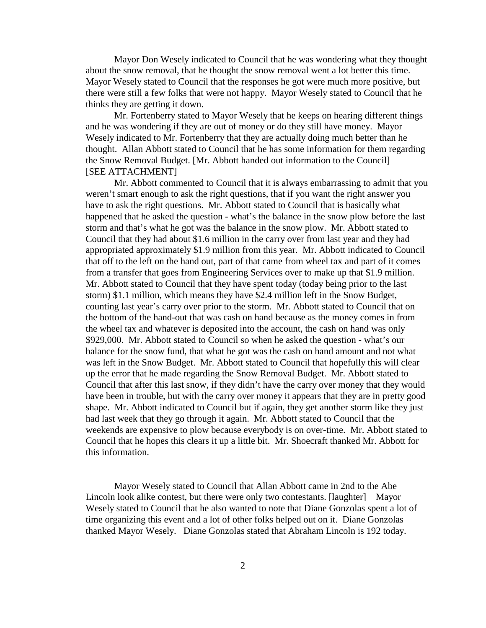Mayor Don Wesely indicated to Council that he was wondering what they thought about the snow removal, that he thought the snow removal went a lot better this time. Mayor Wesely stated to Council that the responses he got were much more positive, but there were still a few folks that were not happy. Mayor Wesely stated to Council that he thinks they are getting it down.

Mr. Fortenberry stated to Mayor Wesely that he keeps on hearing different things and he was wondering if they are out of money or do they still have money. Mayor Wesely indicated to Mr. Fortenberry that they are actually doing much better than he thought. Allan Abbott stated to Council that he has some information for them regarding the Snow Removal Budget. [Mr. Abbott handed out information to the Council] [SEE ATTACHMENT]

Mr. Abbott commented to Council that it is always embarrassing to admit that you weren't smart enough to ask the right questions, that if you want the right answer you have to ask the right questions. Mr. Abbott stated to Council that is basically what happened that he asked the question - what's the balance in the snow plow before the last storm and that's what he got was the balance in the snow plow. Mr. Abbott stated to Council that they had about \$1.6 million in the carry over from last year and they had appropriated approximately \$1.9 million from this year. Mr. Abbott indicated to Council that off to the left on the hand out, part of that came from wheel tax and part of it comes from a transfer that goes from Engineering Services over to make up that \$1.9 million. Mr. Abbott stated to Council that they have spent today (today being prior to the last storm) \$1.1 million, which means they have \$2.4 million left in the Snow Budget, counting last year's carry over prior to the storm. Mr. Abbott stated to Council that on the bottom of the hand-out that was cash on hand because as the money comes in from the wheel tax and whatever is deposited into the account, the cash on hand was only \$929,000. Mr. Abbott stated to Council so when he asked the question - what's our balance for the snow fund, that what he got was the cash on hand amount and not what was left in the Snow Budget. Mr. Abbott stated to Council that hopefully this will clear up the error that he made regarding the Snow Removal Budget. Mr. Abbott stated to Council that after this last snow, if they didn't have the carry over money that they would have been in trouble, but with the carry over money it appears that they are in pretty good shape. Mr. Abbott indicated to Council but if again, they get another storm like they just had last week that they go through it again. Mr. Abbott stated to Council that the weekends are expensive to plow because everybody is on over-time. Mr. Abbott stated to Council that he hopes this clears it up a little bit. Mr. Shoecraft thanked Mr. Abbott for this information.

Mayor Wesely stated to Council that Allan Abbott came in 2nd to the Abe Lincoln look alike contest, but there were only two contestants. [laughter] Mayor Wesely stated to Council that he also wanted to note that Diane Gonzolas spent a lot of time organizing this event and a lot of other folks helped out on it. Diane Gonzolas thanked Mayor Wesely. Diane Gonzolas stated that Abraham Lincoln is 192 today.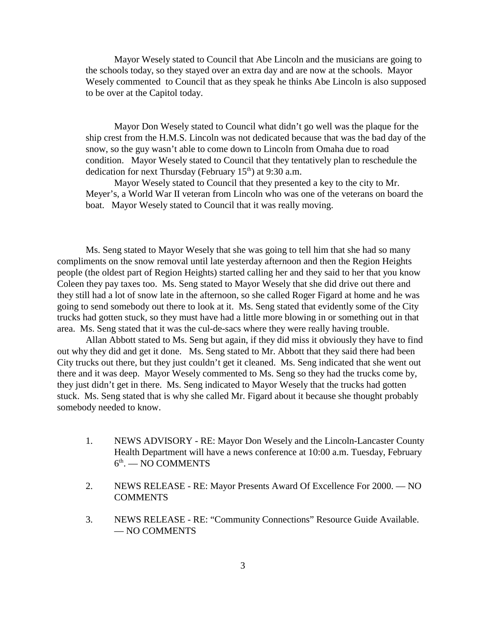Mayor Wesely stated to Council that Abe Lincoln and the musicians are going to the schools today, so they stayed over an extra day and are now at the schools. Mayor Wesely commented to Council that as they speak he thinks Abe Lincoln is also supposed to be over at the Capitol today.

Mayor Don Wesely stated to Council what didn't go well was the plaque for the ship crest from the H.M.S. Lincoln was not dedicated because that was the bad day of the snow, so the guy wasn't able to come down to Lincoln from Omaha due to road condition. Mayor Wesely stated to Council that they tentatively plan to reschedule the dedication for next Thursday (February  $15<sup>th</sup>$ ) at 9:30 a.m.

Mayor Wesely stated to Council that they presented a key to the city to Mr. Meyer's, a World War II veteran from Lincoln who was one of the veterans on board the boat. Mayor Wesely stated to Council that it was really moving.

Ms. Seng stated to Mayor Wesely that she was going to tell him that she had so many compliments on the snow removal until late yesterday afternoon and then the Region Heights people (the oldest part of Region Heights) started calling her and they said to her that you know Coleen they pay taxes too. Ms. Seng stated to Mayor Wesely that she did drive out there and they still had a lot of snow late in the afternoon, so she called Roger Figard at home and he was going to send somebody out there to look at it. Ms. Seng stated that evidently some of the City trucks had gotten stuck, so they must have had a little more blowing in or something out in that area. Ms. Seng stated that it was the cul-de-sacs where they were really having trouble.

Allan Abbott stated to Ms. Seng but again, if they did miss it obviously they have to find out why they did and get it done. Ms. Seng stated to Mr. Abbott that they said there had been City trucks out there, but they just couldn't get it cleaned. Ms. Seng indicated that she went out there and it was deep. Mayor Wesely commented to Ms. Seng so they had the trucks come by, they just didn't get in there. Ms. Seng indicated to Mayor Wesely that the trucks had gotten stuck. Ms. Seng stated that is why she called Mr. Figard about it because she thought probably somebody needed to know.

- 1. NEWS ADVISORY RE: Mayor Don Wesely and the Lincoln-Lancaster County Health Department will have a news conference at 10:00 a.m. Tuesday, February  $6<sup>th</sup>$ . — NO COMMENTS
- 2. NEWS RELEASE RE: Mayor Presents Award Of Excellence For 2000. NO **COMMENTS**
- 3. NEWS RELEASE RE: "Community Connections" Resource Guide Available. — NO COMMENTS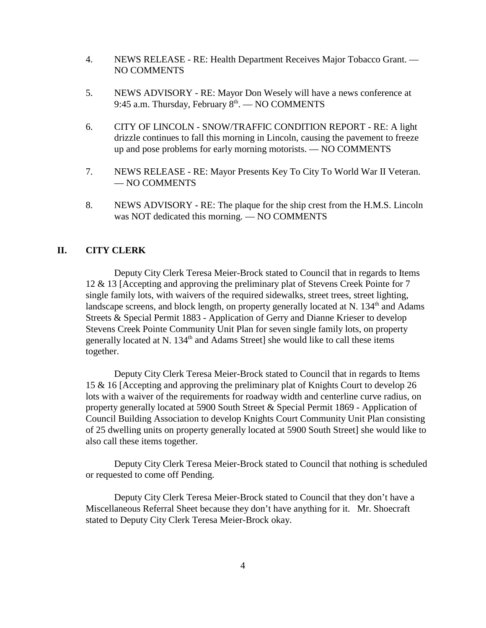- 4. NEWS RELEASE RE: Health Department Receives Major Tobacco Grant. NO COMMENTS
- 5. NEWS ADVISORY RE: Mayor Don Wesely will have a news conference at 9:45 a.m. Thursday, February  $8<sup>th</sup>$ . — NO COMMENTS
- 6. CITY OF LINCOLN SNOW/TRAFFIC CONDITION REPORT RE: A light drizzle continues to fall this morning in Lincoln, causing the pavement to freeze up and pose problems for early morning motorists. — NO COMMENTS
- 7. NEWS RELEASE RE: Mayor Presents Key To City To World War II Veteran. — NO COMMENTS
- 8. NEWS ADVISORY RE: The plaque for the ship crest from the H.M.S. Lincoln was NOT dedicated this morning. — NO COMMENTS

## **II. CITY CLERK**

Deputy City Clerk Teresa Meier-Brock stated to Council that in regards to Items 12 & 13 [Accepting and approving the preliminary plat of Stevens Creek Pointe for 7 single family lots, with waivers of the required sidewalks, street trees, street lighting, landscape screens, and block length, on property generally located at N.  $134<sup>th</sup>$  and Adams Streets & Special Permit 1883 - Application of Gerry and Dianne Krieser to develop Stevens Creek Pointe Community Unit Plan for seven single family lots, on property generally located at N.  $134<sup>th</sup>$  and Adams Street] she would like to call these items together.

Deputy City Clerk Teresa Meier-Brock stated to Council that in regards to Items 15 & 16 [Accepting and approving the preliminary plat of Knights Court to develop 26 lots with a waiver of the requirements for roadway width and centerline curve radius, on property generally located at 5900 South Street & Special Permit 1869 - Application of Council Building Association to develop Knights Court Community Unit Plan consisting of 25 dwelling units on property generally located at 5900 South Street] she would like to also call these items together.

Deputy City Clerk Teresa Meier-Brock stated to Council that nothing is scheduled or requested to come off Pending.

Deputy City Clerk Teresa Meier-Brock stated to Council that they don't have a Miscellaneous Referral Sheet because they don't have anything for it. Mr. Shoecraft stated to Deputy City Clerk Teresa Meier-Brock okay.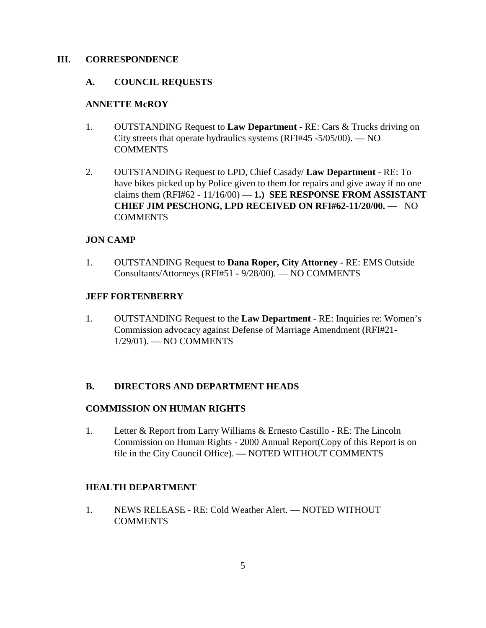### **III. CORRESPONDENCE**

### **A. COUNCIL REQUESTS**

## **ANNETTE McROY**

- 1. OUTSTANDING Request to **Law Department** RE: Cars & Trucks driving on City streets that operate hydraulics systems (RFI#45 -5/05/00). — NO **COMMENTS**
- 2. OUTSTANDING Request to LPD, Chief Casady/ **Law Department** RE: To have bikes picked up by Police given to them for repairs and give away if no one claims them  $(RFI#62 - 11/16/00) - 1$ .) **SEE RESPONSE FROM ASSISTANT CHIEF JIM PESCHONG, LPD RECEIVED ON RFI#62-11/20/00. —** NO COMMENTS

### **JON CAMP**

1. OUTSTANDING Request to **Dana Roper, City Attorney** - RE: EMS Outside Consultants/Attorneys (RFI#51 - 9/28/00). — NO COMMENTS

### **JEFF FORTENBERRY**

1. OUTSTANDING Request to the **Law Department** - RE: Inquiries re: Women's Commission advocacy against Defense of Marriage Amendment (RFI#21- 1/29/01). — NO COMMENTS

## **B. DIRECTORS AND DEPARTMENT HEADS**

#### **COMMISSION ON HUMAN RIGHTS**

1. Letter & Report from Larry Williams & Ernesto Castillo - RE: The Lincoln Commission on Human Rights - 2000 Annual Report(Copy of this Report is on file in the City Council Office). **—** NOTED WITHOUT COMMENTS

## **HEALTH DEPARTMENT**

1. NEWS RELEASE - RE: Cold Weather Alert. — NOTED WITHOUT COMMENTS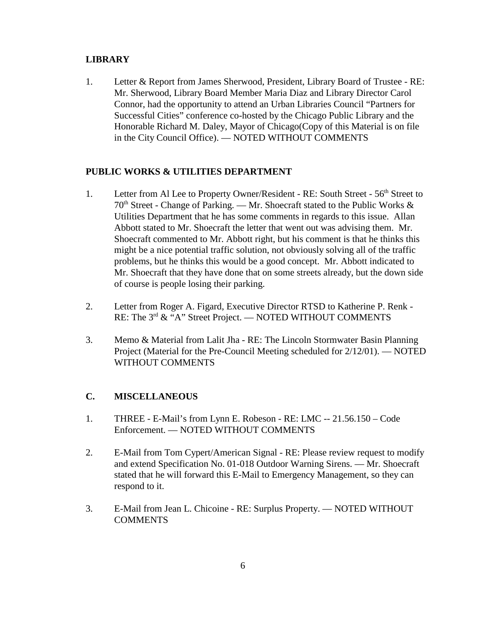## **LIBRARY**

1. Letter & Report from James Sherwood, President, Library Board of Trustee - RE: Mr. Sherwood, Library Board Member Maria Diaz and Library Director Carol Connor, had the opportunity to attend an Urban Libraries Council "Partners for Successful Cities" conference co-hosted by the Chicago Public Library and the Honorable Richard M. Daley, Mayor of Chicago(Copy of this Material is on file in the City Council Office). — NOTED WITHOUT COMMENTS

## **PUBLIC WORKS & UTILITIES DEPARTMENT**

- 1. Letter from Al Lee to Property Owner/Resident RE: South Street 56<sup>th</sup> Street to  $70<sup>th</sup>$  Street - Change of Parking. — Mr. Shoecraft stated to the Public Works  $\&$ Utilities Department that he has some comments in regards to this issue. Allan Abbott stated to Mr. Shoecraft the letter that went out was advising them. Mr. Shoecraft commented to Mr. Abbott right, but his comment is that he thinks this might be a nice potential traffic solution, not obviously solving all of the traffic problems, but he thinks this would be a good concept. Mr. Abbott indicated to Mr. Shoecraft that they have done that on some streets already, but the down side of course is people losing their parking.
- 2. Letter from Roger A. Figard, Executive Director RTSD to Katherine P. Renk RE: The 3<sup>rd</sup> & "A" Street Project. — NOTED WITHOUT COMMENTS
- 3. Memo & Material from Lalit Jha RE: The Lincoln Stormwater Basin Planning Project (Material for the Pre-Council Meeting scheduled for 2/12/01). — NOTED WITHOUT COMMENTS

## **C. MISCELLANEOUS**

- 1. THREE E-Mail's from Lynn E. Robeson RE: LMC -- 21.56.150 Code Enforcement. — NOTED WITHOUT COMMENTS
- 2. E-Mail from Tom Cypert/American Signal RE: Please review request to modify and extend Specification No. 01-018 Outdoor Warning Sirens. — Mr. Shoecraft stated that he will forward this E-Mail to Emergency Management, so they can respond to it.
- 3. E-Mail from Jean L. Chicoine RE: Surplus Property. NOTED WITHOUT **COMMENTS**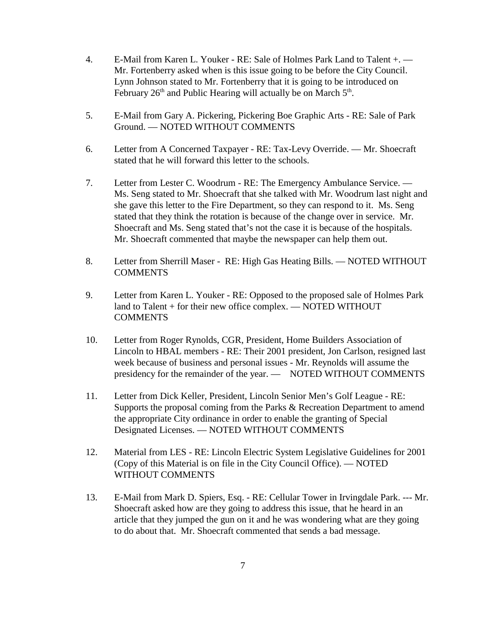- 4. E-Mail from Karen L. Youker RE: Sale of Holmes Park Land to Talent +. Mr. Fortenberry asked when is this issue going to be before the City Council. Lynn Johnson stated to Mr. Fortenberry that it is going to be introduced on February  $26<sup>th</sup>$  and Public Hearing will actually be on March  $5<sup>th</sup>$ .
- 5. E-Mail from Gary A. Pickering, Pickering Boe Graphic Arts RE: Sale of Park Ground. — NOTED WITHOUT COMMENTS
- 6. Letter from A Concerned Taxpayer RE: Tax-Levy Override. Mr. Shoecraft stated that he will forward this letter to the schools.
- 7. Letter from Lester C. Woodrum RE: The Emergency Ambulance Service. Ms. Seng stated to Mr. Shoecraft that she talked with Mr. Woodrum last night and she gave this letter to the Fire Department, so they can respond to it. Ms. Seng stated that they think the rotation is because of the change over in service. Mr. Shoecraft and Ms. Seng stated that's not the case it is because of the hospitals. Mr. Shoecraft commented that maybe the newspaper can help them out.
- 8. Letter from Sherrill Maser RE: High Gas Heating Bills. NOTED WITHOUT COMMENTS
- 9. Letter from Karen L. Youker RE: Opposed to the proposed sale of Holmes Park land to Talent + for their new office complex. — NOTED WITHOUT COMMENTS
- 10. Letter from Roger Rynolds, CGR, President, Home Builders Association of Lincoln to HBAL members - RE: Their 2001 president, Jon Carlson, resigned last week because of business and personal issues - Mr. Reynolds will assume the presidency for the remainder of the year. — NOTED WITHOUT COMMENTS
- 11. Letter from Dick Keller, President, Lincoln Senior Men's Golf League RE: Supports the proposal coming from the Parks & Recreation Department to amend the appropriate City ordinance in order to enable the granting of Special Designated Licenses. — NOTED WITHOUT COMMENTS
- 12. Material from LES RE: Lincoln Electric System Legislative Guidelines for 2001 (Copy of this Material is on file in the City Council Office). — NOTED WITHOUT COMMENTS
- 13. E-Mail from Mark D. Spiers, Esq. RE: Cellular Tower in Irvingdale Park. --- Mr. Shoecraft asked how are they going to address this issue, that he heard in an article that they jumped the gun on it and he was wondering what are they going to do about that. Mr. Shoecraft commented that sends a bad message.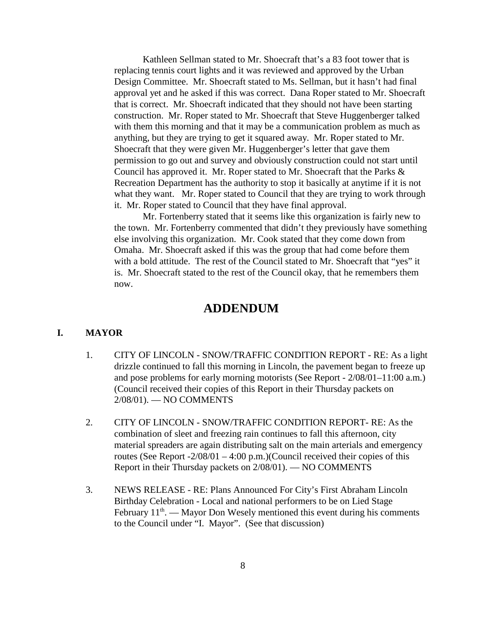Kathleen Sellman stated to Mr. Shoecraft that's a 83 foot tower that is replacing tennis court lights and it was reviewed and approved by the Urban Design Committee. Mr. Shoecraft stated to Ms. Sellman, but it hasn't had final approval yet and he asked if this was correct. Dana Roper stated to Mr. Shoecraft that is correct. Mr. Shoecraft indicated that they should not have been starting construction. Mr. Roper stated to Mr. Shoecraft that Steve Huggenberger talked with them this morning and that it may be a communication problem as much as anything, but they are trying to get it squared away. Mr. Roper stated to Mr. Shoecraft that they were given Mr. Huggenberger's letter that gave them permission to go out and survey and obviously construction could not start until Council has approved it. Mr. Roper stated to Mr. Shoecraft that the Parks & Recreation Department has the authority to stop it basically at anytime if it is not what they want. Mr. Roper stated to Council that they are trying to work through it. Mr. Roper stated to Council that they have final approval.

Mr. Fortenberry stated that it seems like this organization is fairly new to the town. Mr. Fortenberry commented that didn't they previously have something else involving this organization. Mr. Cook stated that they come down from Omaha. Mr. Shoecraft asked if this was the group that had come before them with a bold attitude. The rest of the Council stated to Mr. Shoecraft that "yes" it is. Mr. Shoecraft stated to the rest of the Council okay, that he remembers them now.

## **ADDENDUM**

#### **I. MAYOR**

- 1. CITY OF LINCOLN SNOW/TRAFFIC CONDITION REPORT RE: As a light drizzle continued to fall this morning in Lincoln, the pavement began to freeze up and pose problems for early morning motorists (See Report - 2/08/01–11:00 a.m.) (Council received their copies of this Report in their Thursday packets on 2/08/01). — NO COMMENTS
- 2. CITY OF LINCOLN SNOW/TRAFFIC CONDITION REPORT- RE: As the combination of sleet and freezing rain continues to fall this afternoon, city material spreaders are again distributing salt on the main arterials and emergency routes (See Report  $-2/08/01 - 4:00 \text{ p.m.}$ )(Council received their copies of this Report in their Thursday packets on 2/08/01). — NO COMMENTS
- 3. NEWS RELEASE RE: Plans Announced For City's First Abraham Lincoln Birthday Celebration - Local and national performers to be on Lied Stage February  $11<sup>th</sup>$ . — Mayor Don Wesely mentioned this event during his comments to the Council under "I. Mayor". (See that discussion)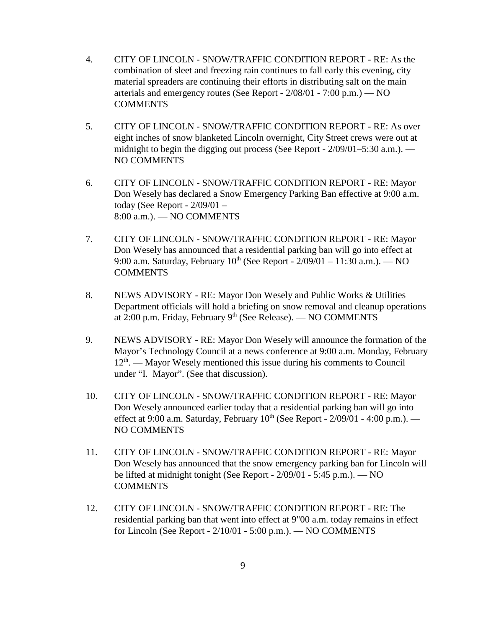- 4. CITY OF LINCOLN SNOW/TRAFFIC CONDITION REPORT RE: As the combination of sleet and freezing rain continues to fall early this evening, city material spreaders are continuing their efforts in distributing salt on the main arterials and emergency routes (See Report - 2/08/01 - 7:00 p.m.) — NO **COMMENTS**
- 5. CITY OF LINCOLN SNOW/TRAFFIC CONDITION REPORT RE: As over eight inches of snow blanketed Lincoln overnight, City Street crews were out at midnight to begin the digging out process (See Report - 2/09/01–5:30 a.m.). — NO COMMENTS
- 6. CITY OF LINCOLN SNOW/TRAFFIC CONDITION REPORT RE: Mayor Don Wesely has declared a Snow Emergency Parking Ban effective at 9:00 a.m. today (See Report - 2/09/01 – 8:00 a.m.). — NO COMMENTS
- 7. CITY OF LINCOLN SNOW/TRAFFIC CONDITION REPORT RE: Mayor Don Wesely has announced that a residential parking ban will go into effect at 9:00 a.m. Saturday, February  $10^{th}$  (See Report -  $2/09/01 - 11:30$  a.m.). — NO COMMENTS
- 8. NEWS ADVISORY RE: Mayor Don Wesely and Public Works & Utilities Department officials will hold a briefing on snow removal and cleanup operations at 2:00 p.m. Friday, February  $9<sup>th</sup>$  (See Release). — NO COMMENTS
- 9. NEWS ADVISORY RE: Mayor Don Wesely will announce the formation of the Mayor's Technology Council at a news conference at 9:00 a.m. Monday, February  $12<sup>th</sup>$ . — Mayor Wesely mentioned this issue during his comments to Council under "I. Mayor". (See that discussion).
- 10. CITY OF LINCOLN SNOW/TRAFFIC CONDITION REPORT RE: Mayor Don Wesely announced earlier today that a residential parking ban will go into effect at 9:00 a.m. Saturday, February  $10^{th}$  (See Report - 2/09/01 - 4:00 p.m.). — NO COMMENTS
- 11. CITY OF LINCOLN SNOW/TRAFFIC CONDITION REPORT RE: Mayor Don Wesely has announced that the snow emergency parking ban for Lincoln will be lifted at midnight tonight (See Report - 2/09/01 - 5:45 p.m.). — NO **COMMENTS**
- 12. CITY OF LINCOLN SNOW/TRAFFIC CONDITION REPORT RE: The residential parking ban that went into effect at 9"00 a.m. today remains in effect for Lincoln (See Report - 2/10/01 - 5:00 p.m.). — NO COMMENTS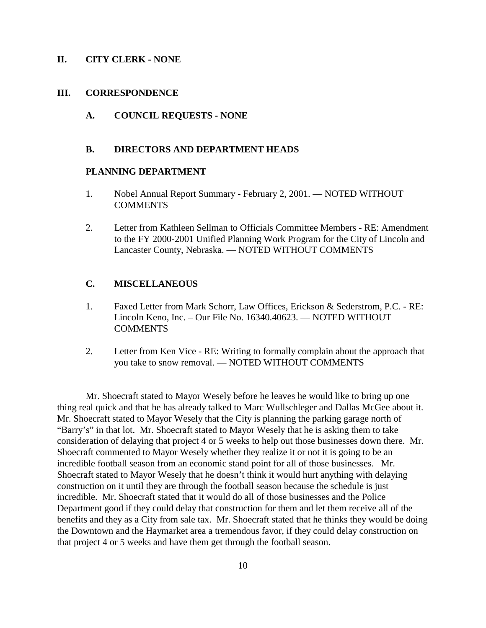#### **II. CITY CLERK - NONE**

#### **III. CORRESPONDENCE**

**A. COUNCIL REQUESTS - NONE**

#### **B. DIRECTORS AND DEPARTMENT HEADS**

### **PLANNING DEPARTMENT**

- 1. Nobel Annual Report Summary February 2, 2001. NOTED WITHOUT **COMMENTS**
- 2. Letter from Kathleen Sellman to Officials Committee Members RE: Amendment to the FY 2000-2001 Unified Planning Work Program for the City of Lincoln and Lancaster County, Nebraska. — NOTED WITHOUT COMMENTS

## **C. MISCELLANEOUS**

- 1. Faxed Letter from Mark Schorr, Law Offices, Erickson & Sederstrom, P.C. RE: Lincoln Keno, Inc. – Our File No. 16340.40623. — NOTED WITHOUT **COMMENTS**
- 2. Letter from Ken Vice RE: Writing to formally complain about the approach that you take to snow removal. — NOTED WITHOUT COMMENTS

Mr. Shoecraft stated to Mayor Wesely before he leaves he would like to bring up one thing real quick and that he has already talked to Marc Wullschleger and Dallas McGee about it. Mr. Shoecraft stated to Mayor Wesely that the City is planning the parking garage north of "Barry's" in that lot. Mr. Shoecraft stated to Mayor Wesely that he is asking them to take consideration of delaying that project 4 or 5 weeks to help out those businesses down there. Mr. Shoecraft commented to Mayor Wesely whether they realize it or not it is going to be an incredible football season from an economic stand point for all of those businesses. Mr. Shoecraft stated to Mayor Wesely that he doesn't think it would hurt anything with delaying construction on it until they are through the football season because the schedule is just incredible. Mr. Shoecraft stated that it would do all of those businesses and the Police Department good if they could delay that construction for them and let them receive all of the benefits and they as a City from sale tax. Mr. Shoecraft stated that he thinks they would be doing the Downtown and the Haymarket area a tremendous favor, if they could delay construction on that project 4 or 5 weeks and have them get through the football season.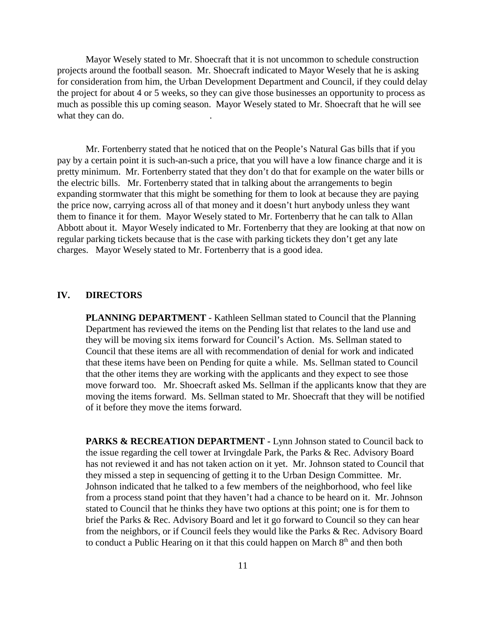Mayor Wesely stated to Mr. Shoecraft that it is not uncommon to schedule construction projects around the football season. Mr. Shoecraft indicated to Mayor Wesely that he is asking for consideration from him, the Urban Development Department and Council, if they could delay the project for about 4 or 5 weeks, so they can give those businesses an opportunity to process as much as possible this up coming season. Mayor Wesely stated to Mr. Shoecraft that he will see what they can do.

Mr. Fortenberry stated that he noticed that on the People's Natural Gas bills that if you pay by a certain point it is such-an-such a price, that you will have a low finance charge and it is pretty minimum. Mr. Fortenberry stated that they don't do that for example on the water bills or the electric bills. Mr. Fortenberry stated that in talking about the arrangements to begin expanding stormwater that this might be something for them to look at because they are paying the price now, carrying across all of that money and it doesn't hurt anybody unless they want them to finance it for them. Mayor Wesely stated to Mr. Fortenberry that he can talk to Allan Abbott about it. Mayor Wesely indicated to Mr. Fortenberry that they are looking at that now on regular parking tickets because that is the case with parking tickets they don't get any late charges. Mayor Wesely stated to Mr. Fortenberry that is a good idea.

#### **IV. DIRECTORS**

**PLANNING DEPARTMENT** - Kathleen Sellman stated to Council that the Planning Department has reviewed the items on the Pending list that relates to the land use and they will be moving six items forward for Council's Action. Ms. Sellman stated to Council that these items are all with recommendation of denial for work and indicated that these items have been on Pending for quite a while. Ms. Sellman stated to Council that the other items they are working with the applicants and they expect to see those move forward too. Mr. Shoecraft asked Ms. Sellman if the applicants know that they are moving the items forward. Ms. Sellman stated to Mr. Shoecraft that they will be notified of it before they move the items forward.

PARKS & RECREATION DEPARTMENT - Lynn Johnson stated to Council back to the issue regarding the cell tower at Irvingdale Park, the Parks & Rec. Advisory Board has not reviewed it and has not taken action on it yet. Mr. Johnson stated to Council that they missed a step in sequencing of getting it to the Urban Design Committee. Mr. Johnson indicated that he talked to a few members of the neighborhood, who feel like from a process stand point that they haven't had a chance to be heard on it. Mr. Johnson stated to Council that he thinks they have two options at this point; one is for them to brief the Parks & Rec. Advisory Board and let it go forward to Council so they can hear from the neighbors, or if Council feels they would like the Parks & Rec. Advisory Board to conduct a Public Hearing on it that this could happen on March  $8<sup>th</sup>$  and then both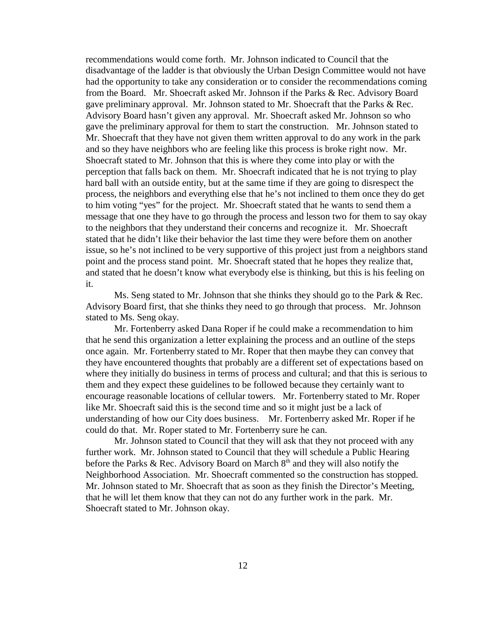recommendations would come forth. Mr. Johnson indicated to Council that the disadvantage of the ladder is that obviously the Urban Design Committee would not have had the opportunity to take any consideration or to consider the recommendations coming from the Board. Mr. Shoecraft asked Mr. Johnson if the Parks & Rec. Advisory Board gave preliminary approval. Mr. Johnson stated to Mr. Shoecraft that the Parks & Rec. Advisory Board hasn't given any approval. Mr. Shoecraft asked Mr. Johnson so who gave the preliminary approval for them to start the construction. Mr. Johnson stated to Mr. Shoecraft that they have not given them written approval to do any work in the park and so they have neighbors who are feeling like this process is broke right now. Mr. Shoecraft stated to Mr. Johnson that this is where they come into play or with the perception that falls back on them. Mr. Shoecraft indicated that he is not trying to play hard ball with an outside entity, but at the same time if they are going to disrespect the process, the neighbors and everything else that he's not inclined to them once they do get to him voting "yes" for the project. Mr. Shoecraft stated that he wants to send them a message that one they have to go through the process and lesson two for them to say okay to the neighbors that they understand their concerns and recognize it. Mr. Shoecraft stated that he didn't like their behavior the last time they were before them on another issue, so he's not inclined to be very supportive of this project just from a neighbors stand point and the process stand point. Mr. Shoecraft stated that he hopes they realize that, and stated that he doesn't know what everybody else is thinking, but this is his feeling on it.

Ms. Seng stated to Mr. Johnson that she thinks they should go to the Park & Rec. Advisory Board first, that she thinks they need to go through that process. Mr. Johnson stated to Ms. Seng okay.

Mr. Fortenberry asked Dana Roper if he could make a recommendation to him that he send this organization a letter explaining the process and an outline of the steps once again. Mr. Fortenberry stated to Mr. Roper that then maybe they can convey that they have encountered thoughts that probably are a different set of expectations based on where they initially do business in terms of process and cultural; and that this is serious to them and they expect these guidelines to be followed because they certainly want to encourage reasonable locations of cellular towers. Mr. Fortenberry stated to Mr. Roper like Mr. Shoecraft said this is the second time and so it might just be a lack of understanding of how our City does business. Mr. Fortenberry asked Mr. Roper if he could do that. Mr. Roper stated to Mr. Fortenberry sure he can.

Mr. Johnson stated to Council that they will ask that they not proceed with any further work. Mr. Johnson stated to Council that they will schedule a Public Hearing before the Parks & Rec. Advisory Board on March  $8<sup>th</sup>$  and they will also notify the Neighborhood Association. Mr. Shoecraft commented so the construction has stopped. Mr. Johnson stated to Mr. Shoecraft that as soon as they finish the Director's Meeting, that he will let them know that they can not do any further work in the park. Mr. Shoecraft stated to Mr. Johnson okay.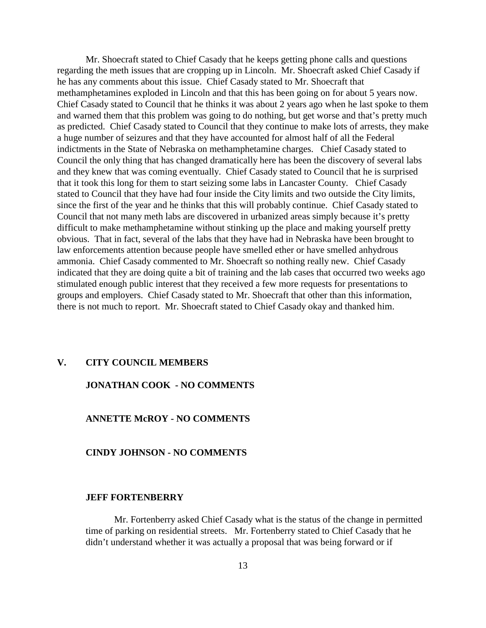Mr. Shoecraft stated to Chief Casady that he keeps getting phone calls and questions regarding the meth issues that are cropping up in Lincoln. Mr. Shoecraft asked Chief Casady if he has any comments about this issue. Chief Casady stated to Mr. Shoecraft that methamphetamines exploded in Lincoln and that this has been going on for about 5 years now. Chief Casady stated to Council that he thinks it was about 2 years ago when he last spoke to them and warned them that this problem was going to do nothing, but get worse and that's pretty much as predicted. Chief Casady stated to Council that they continue to make lots of arrests, they make a huge number of seizures and that they have accounted for almost half of all the Federal indictments in the State of Nebraska on methamphetamine charges. Chief Casady stated to Council the only thing that has changed dramatically here has been the discovery of several labs and they knew that was coming eventually. Chief Casady stated to Council that he is surprised that it took this long for them to start seizing some labs in Lancaster County. Chief Casady stated to Council that they have had four inside the City limits and two outside the City limits, since the first of the year and he thinks that this will probably continue. Chief Casady stated to Council that not many meth labs are discovered in urbanized areas simply because it's pretty difficult to make methamphetamine without stinking up the place and making yourself pretty obvious. That in fact, several of the labs that they have had in Nebraska have been brought to law enforcements attention because people have smelled ether or have smelled anhydrous ammonia. Chief Casady commented to Mr. Shoecraft so nothing really new. Chief Casady indicated that they are doing quite a bit of training and the lab cases that occurred two weeks ago stimulated enough public interest that they received a few more requests for presentations to groups and employers. Chief Casady stated to Mr. Shoecraft that other than this information, there is not much to report. Mr. Shoecraft stated to Chief Casady okay and thanked him.

#### **V. CITY COUNCIL MEMBERS**

### **JONATHAN COOK - NO COMMENTS**

## **ANNETTE McROY - NO COMMENTS**

#### **CINDY JOHNSON - NO COMMENTS**

### **JEFF FORTENBERRY**

Mr. Fortenberry asked Chief Casady what is the status of the change in permitted time of parking on residential streets. Mr. Fortenberry stated to Chief Casady that he didn't understand whether it was actually a proposal that was being forward or if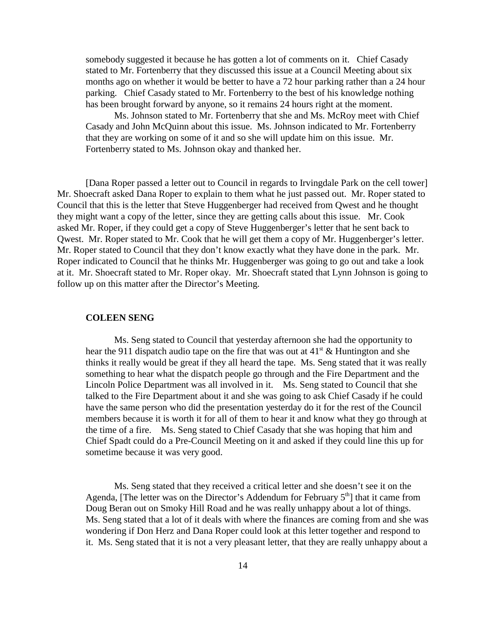somebody suggested it because he has gotten a lot of comments on it. Chief Casady stated to Mr. Fortenberry that they discussed this issue at a Council Meeting about six months ago on whether it would be better to have a 72 hour parking rather than a 24 hour parking. Chief Casady stated to Mr. Fortenberry to the best of his knowledge nothing has been brought forward by anyone, so it remains 24 hours right at the moment.

Ms. Johnson stated to Mr. Fortenberry that she and Ms. McRoy meet with Chief Casady and John McQuinn about this issue. Ms. Johnson indicated to Mr. Fortenberry that they are working on some of it and so she will update him on this issue. Mr. Fortenberry stated to Ms. Johnson okay and thanked her.

[Dana Roper passed a letter out to Council in regards to Irvingdale Park on the cell tower] Mr. Shoecraft asked Dana Roper to explain to them what he just passed out. Mr. Roper stated to Council that this is the letter that Steve Huggenberger had received from Qwest and he thought they might want a copy of the letter, since they are getting calls about this issue. Mr. Cook asked Mr. Roper, if they could get a copy of Steve Huggenberger's letter that he sent back to Qwest. Mr. Roper stated to Mr. Cook that he will get them a copy of Mr. Huggenberger's letter. Mr. Roper stated to Council that they don't know exactly what they have done in the park. Mr. Roper indicated to Council that he thinks Mr. Huggenberger was going to go out and take a look at it. Mr. Shoecraft stated to Mr. Roper okay. Mr. Shoecraft stated that Lynn Johnson is going to follow up on this matter after the Director's Meeting.

#### **COLEEN SENG**

Ms. Seng stated to Council that yesterday afternoon she had the opportunity to hear the 911 dispatch audio tape on the fire that was out at  $41<sup>st</sup> \&$  Huntington and she thinks it really would be great if they all heard the tape. Ms. Seng stated that it was really something to hear what the dispatch people go through and the Fire Department and the Lincoln Police Department was all involved in it. Ms. Seng stated to Council that she talked to the Fire Department about it and she was going to ask Chief Casady if he could have the same person who did the presentation yesterday do it for the rest of the Council members because it is worth it for all of them to hear it and know what they go through at the time of a fire. Ms. Seng stated to Chief Casady that she was hoping that him and Chief Spadt could do a Pre-Council Meeting on it and asked if they could line this up for sometime because it was very good.

Ms. Seng stated that they received a critical letter and she doesn't see it on the Agenda, [The letter was on the Director's Addendum for February  $5<sup>th</sup>$ ] that it came from Doug Beran out on Smoky Hill Road and he was really unhappy about a lot of things. Ms. Seng stated that a lot of it deals with where the finances are coming from and she was wondering if Don Herz and Dana Roper could look at this letter together and respond to it. Ms. Seng stated that it is not a very pleasant letter, that they are really unhappy about a